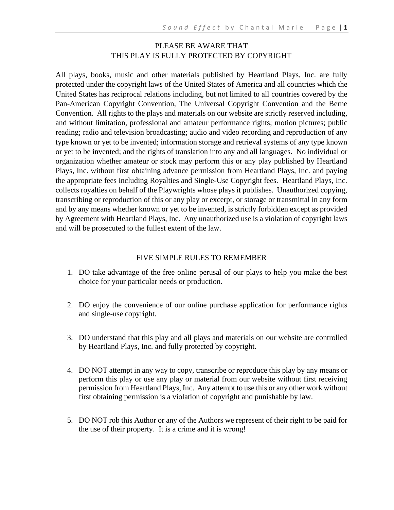#### PLEASE BE AWARE THAT THIS PLAY IS FULLY PROTECTED BY COPYRIGHT

All plays, books, music and other materials published by Heartland Plays, Inc. are fully protected under the copyright laws of the United States of America and all countries which the United States has reciprocal relations including, but not limited to all countries covered by the Pan-American Copyright Convention, The Universal Copyright Convention and the Berne Convention. All rights to the plays and materials on our website are strictly reserved including, and without limitation, professional and amateur performance rights; motion pictures; public reading; radio and television broadcasting; audio and video recording and reproduction of any type known or yet to be invented; information storage and retrieval systems of any type known or yet to be invented; and the rights of translation into any and all languages. No individual or organization whether amateur or stock may perform this or any play published by Heartland Plays, Inc. without first obtaining advance permission from Heartland Plays, Inc. and paying the appropriate fees including Royalties and Single-Use Copyright fees. Heartland Plays, Inc. collects royalties on behalf of the Playwrights whose plays it publishes. Unauthorized copying, transcribing or reproduction of this or any play or excerpt, or storage or transmittal in any form and by any means whether known or yet to be invented, is strictly forbidden except as provided by Agreement with Heartland Plays, Inc. Any unauthorized use is a violation of copyright laws and will be prosecuted to the fullest extent of the law.

#### FIVE SIMPLE RULES TO REMEMBER

- 1. DO take advantage of the free online perusal of our plays to help you make the best choice for your particular needs or production.
- 2. DO enjoy the convenience of our online purchase application for performance rights and single-use copyright.
- 3. DO understand that this play and all plays and materials on our website are controlled by Heartland Plays, Inc. and fully protected by copyright.
- 4. DO NOT attempt in any way to copy, transcribe or reproduce this play by any means or perform this play or use any play or material from our website without first receiving permission from Heartland Plays, Inc. Any attempt to use this or any other work without first obtaining permission is a violation of copyright and punishable by law.
- 5. DO NOT rob this Author or any of the Authors we represent of their right to be paid for the use of their property. It is a crime and it is wrong!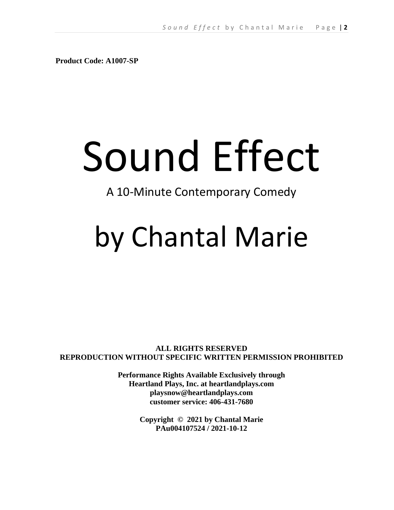**Product Code: A1007-SP**

# Sound Effect

# A 10-Minute Contemporary Comedy

# by Chantal Marie

**ALL RIGHTS RESERVED REPRODUCTION WITHOUT SPECIFIC WRITTEN PERMISSION PROHIBITED**

> **Performance Rights Available Exclusively through Heartland Plays, Inc. at heartlandplays.com playsnow@heartlandplays.com customer service: 406-431-7680**

> > **Copyright © 2021 by Chantal Marie PAu004107524 / 2021-10-12**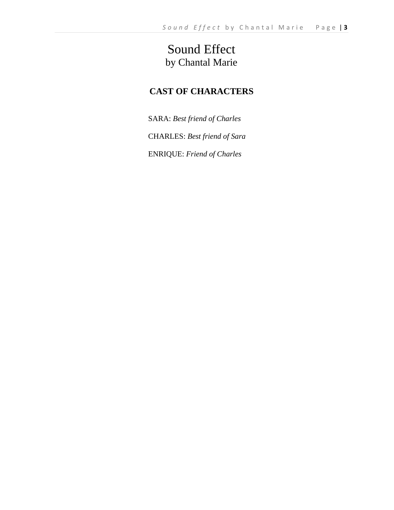# Sound Effect by Chantal Marie

# **CAST OF CHARACTERS**

SARA: *Best friend of Charles*

CHARLES: *Best friend of Sara*

ENRIQUE: *Friend of Charles*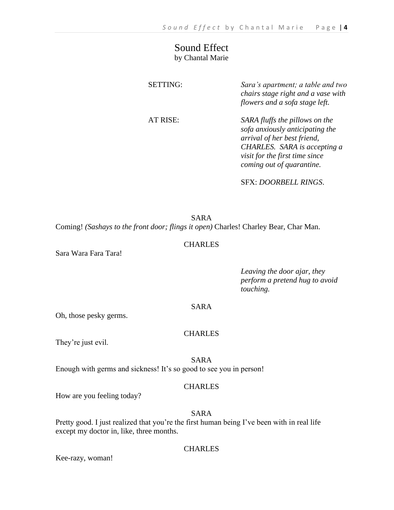### Sound Effect by Chantal Marie

| <b>SETTING:</b> | Sara's apartment; a table and two<br>chairs stage right and a vase with<br>flowers and a sofa stage left.                                                                                       |
|-----------------|-------------------------------------------------------------------------------------------------------------------------------------------------------------------------------------------------|
| AT RISE:        | SARA fluffs the pillows on the<br>sofa anxiously anticipating the<br>arrival of her best friend,<br>CHARLES. SARA is accepting a<br>visit for the first time since<br>coming out of quarantine. |

SFX: *DOORBELL RINGS*.

SARA Coming! *(Sashays to the front door; flings it open)* Charles! Charley Bear, Char Man.

#### CHARLES

Sara Wara Fara Tara!

*Leaving the door ajar, they perform a pretend hug to avoid touching.* 

#### SARA

Oh, those pesky germs.

#### CHARLES

They're just evil.

SARA

Enough with germs and sickness! It's so good to see you in person!

#### **CHARLES**

How are you feeling today?

#### SARA

Pretty good. I just realized that you're the first human being I've been with in real life except my doctor in, like, three months.

#### CHARLES

Kee-razy, woman!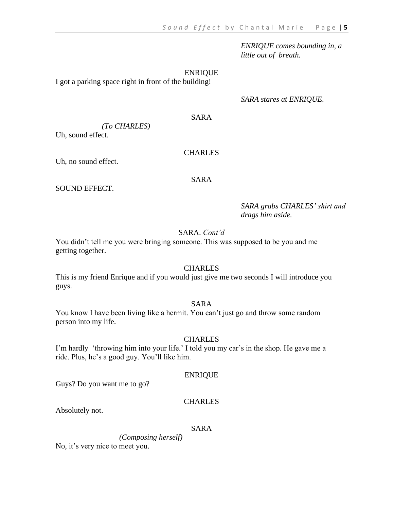*ENRIQUE comes bounding in, a little out of breath.*

ENRIQUE

I got a parking space right in front of the building!

*SARA stares at ENRIQUE.*

#### SARA

*(To CHARLES)* 

Uh, sound effect.

#### CHARLES

Uh, no sound effect.

#### SARA

SOUND EFFECT.

*SARA grabs CHARLES' shirt and drags him aside.* 

#### SARA. *Cont'd*

You didn't tell me you were bringing someone. This was supposed to be you and me getting together.

#### CHARLES

This is my friend Enrique and if you would just give me two seconds I will introduce you guys.

#### SARA

You know I have been living like a hermit. You can't just go and throw some random person into my life.

#### CHARLES

I'm hardly 'throwing him into your life.' I told you my car's in the shop. He gave me a ride. Plus, he's a good guy. You'll like him.

#### ENRIQUE

Guys? Do you want me to go?

#### **CHARLES**

Absolutely not.

#### SARA

 *(Composing herself)*  No, it's very nice to meet you.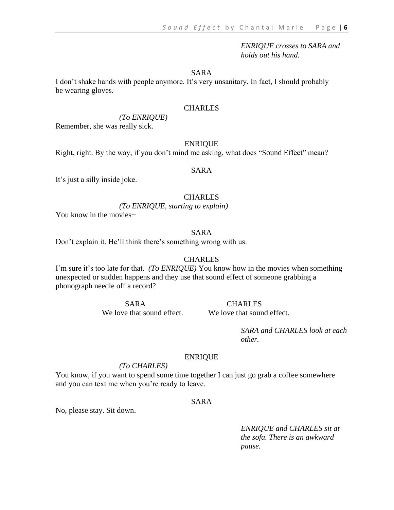*ENRIQUE crosses to SARA and holds out his hand.* 

SARA

I don't shake hands with people anymore. It's very unsanitary. In fact, I should probably be wearing gloves.

#### **CHARLES**

#### *(To ENRIQUE)*

Remember, she was really sick.

#### ENRIQUE

Right, right. By the way, if you don't mind me asking, what does "Sound Effect" mean?

#### SARA

It's just a silly inside joke.

#### CHARLES

 *(To ENRIQUE, starting to explain)* 

You know in the movies−

#### SARA

Don't explain it. He'll think there's something wrong with us.

#### **CHARLES**

I'm sure it's too late for that. *(To ENRIQUE)* You know how in the movies when something unexpected or sudden happens and they use that sound effect of someone grabbing a phonograph needle off a record?

We love that sound effect. We love that sound effect.

SARA CHARLES

*SARA and CHARLES look at each other.* 

#### ENRIQUE

#### *(To CHARLES)*

You know, if you want to spend some time together I can just go grab a coffee somewhere and you can text me when you're ready to leave.

#### SARA

No, please stay. Sit down.

*ENRIQUE and CHARLES sit at the sofa. There is an awkward pause.*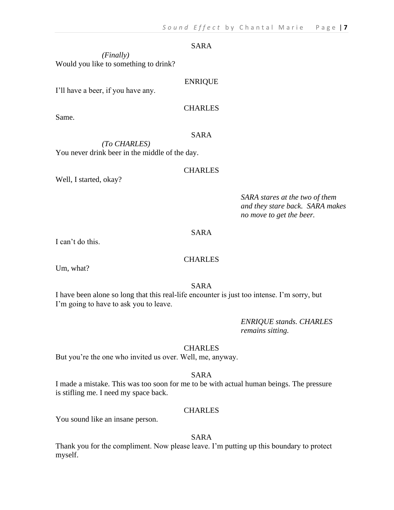#### SARA

*(Finally)* Would you like to something to drink?

#### ENRIQUE

I'll have a beer, if you have any.

#### **CHARLES**

Same.

#### SARA

*(To CHARLES)*  You never drink beer in the middle of the day.

#### CHARLES

Well, I started, okay?

*SARA stares at the two of them and they stare back. SARA makes no move to get the beer.*

#### SARA

I can't do this.

#### **CHARLES**

Um, what?

SARA

I have been alone so long that this real-life encounter is just too intense. I'm sorry, but I'm going to have to ask you to leave.

> *ENRIQUE stands. CHARLES remains sitting.*

#### **CHARLES**

But you're the one who invited us over. Well, me, anyway.

#### SARA

I made a mistake. This was too soon for me to be with actual human beings. The pressure is stifling me. I need my space back.

#### CHARLES

You sound like an insane person.

#### SARA

Thank you for the compliment. Now please leave. I'm putting up this boundary to protect myself.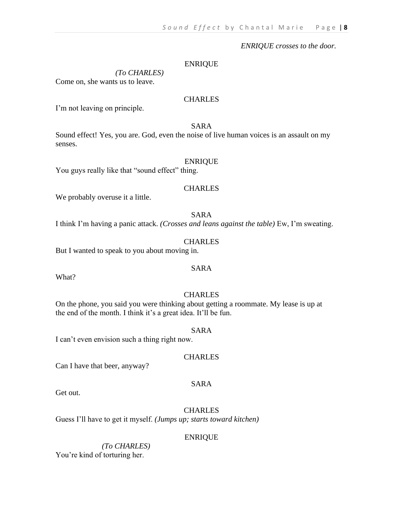#### *ENRIQUE crosses to the door.*

#### ENRIQUE

 *(To CHARLES)*  Come on, she wants us to leave.

#### CHARLES

I'm not leaving on principle.

#### SARA

Sound effect! Yes, you are. God, even the noise of live human voices is an assault on my senses.

#### ENRIQUE

You guys really like that "sound effect" thing.

#### **CHARLES**

We probably overuse it a little.

#### SARA

I think I'm having a panic attack. *(Crosses and leans against the table)* Ew, I'm sweating.

#### **CHARLES**

But I wanted to speak to you about moving in.

#### SARA

What?

#### **CHARLES**

On the phone, you said you were thinking about getting a roommate. My lease is up at the end of the month. I think it's a great idea. It'll be fun.

#### SARA

I can't even envision such a thing right now.

#### CHARLES

Can I have that beer, anyway?

#### SARA

Get out.

#### **CHARLES**

Guess I'll have to get it myself. *(Jumps up; starts toward kitchen)*

#### ENRIQUE

*(To CHARLES)*  You're kind of torturing her.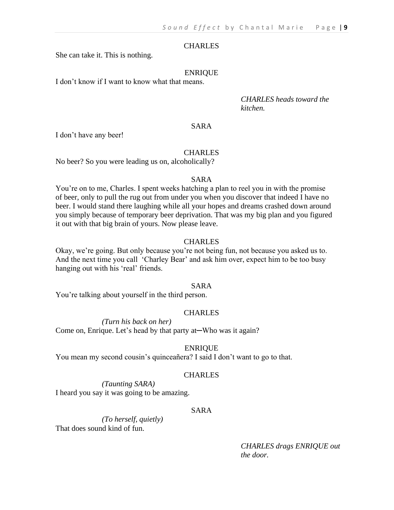#### **CHARLES**

She can take it. This is nothing.

#### ENRIQUE

I don't know if I want to know what that means.

*CHARLES heads toward the kitchen.*

#### SARA

I don't have any beer!

#### **CHARLES**

No beer? So you were leading us on, alcoholically?

#### SARA

You're on to me, Charles. I spent weeks hatching a plan to reel you in with the promise of beer, only to pull the rug out from under you when you discover that indeed I have no beer. I would stand there laughing while all your hopes and dreams crashed down around you simply because of temporary beer deprivation. That was my big plan and you figured it out with that big brain of yours. Now please leave.

#### CHARLES

Okay, we're going. But only because you're not being fun, not because you asked us to. And the next time you call 'Charley Bear' and ask him over, expect him to be too busy hanging out with his 'real' friends.

#### SARA

You're talking about yourself in the third person.

#### **CHARLES**

*(Turn his back on her)*

Come on, Enrique. Let's head by that party at—Who was it again?

#### ENRIQUE

You mean my second cousin's quinceañera? I said I don't want to go to that.

#### CHARLES

*(Taunting SARA)* I heard you say it was going to be amazing.

#### SARA

*(To herself, quietly)*  That does sound kind of fun.

> *CHARLES drags ENRIQUE out the door.*